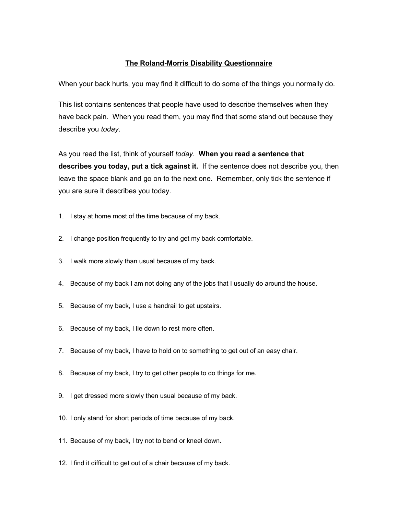## **The Roland-Morris Disability Questionnaire**

When your back hurts, you may find it difficult to do some of the things you normally do.

This list contains sentences that people have used to describe themselves when they have back pain. When you read them, you may find that some stand out because they describe you *today*.

As you read the list, think of yourself *today*. **When you read a sentence that describes you today, put a tick against it.** If the sentence does not describe you, then leave the space blank and go on to the next one. Remember, only tick the sentence if you are sure it describes you today.

- 1. I stay at home most of the time because of my back.
- 2. I change position frequently to try and get my back comfortable.
- 3. I walk more slowly than usual because of my back.
- 4. Because of my back I am not doing any of the jobs that I usually do around the house.
- 5. Because of my back, I use a handrail to get upstairs.
- 6. Because of my back, I lie down to rest more often.
- 7. Because of my back, I have to hold on to something to get out of an easy chair.
- 8. Because of my back, I try to get other people to do things for me.
- 9. I get dressed more slowly then usual because of my back.
- 10. I only stand for short periods of time because of my back.
- 11. Because of my back, I try not to bend or kneel down.
- 12. I find it difficult to get out of a chair because of my back.